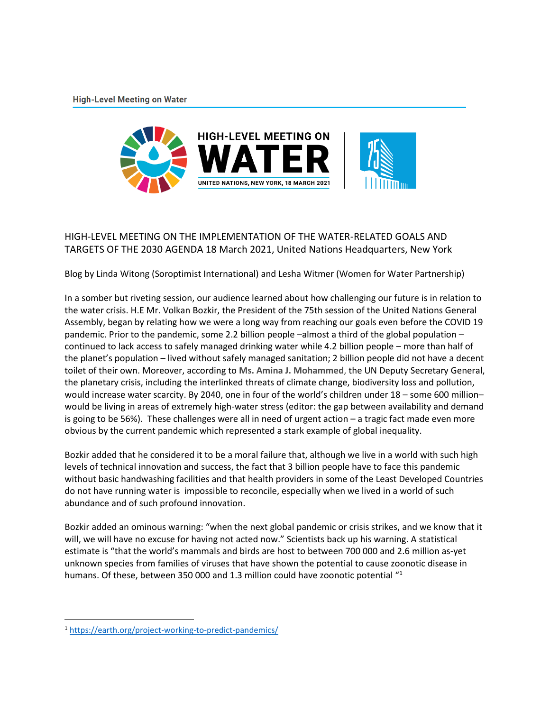**High-Level Meeting on Water** 



## HIGH-LEVEL MEETING ON THE IMPLEMENTATION OF THE WATER-RELATED GOALS AND TARGETS OF THE 2030 AGENDA 18 March 2021, United Nations Headquarters, New York

Blog by Linda Witong (Soroptimist International) and Lesha Witmer (Women for Water Partnership)

In a somber but riveting session, our audience learned about how challenging our future is in relation to the water crisis. H.E Mr. Volkan Bozkir, the President of the 75th session of the United Nations General Assembly, began by relating how we were a long way from reaching our goals even before the COVID 19 pandemic. Prior to the pandemic, some 2.2 billion people –almost a third of the global population – continued to lack access to safely managed drinking water while 4.2 billion people – more than half of the planet's population – lived without safely managed sanitation; 2 billion people did not have a decent toilet of their own. Moreover, according to **Ms. Amina J. Mohammed**, the UN Deputy Secretary General, the planetary crisis, including the interlinked threats of climate change, biodiversity loss and pollution, would increase water scarcity. By 2040, one in four of the world's children under 18 – some 600 million– would be living in areas of extremely high-water stress (editor: the gap between availability and demand is going to be 56%). These challenges were all in need of urgent action – a tragic fact made even more obvious by the current pandemic which represented a stark example of global inequality.

Bozkir added that he considered it to be a moral failure that, although we live in a world with such high levels of technical innovation and success, the fact that 3 billion people have to face this pandemic without basic handwashing facilities and that health providers in some of the Least Developed Countries do not have running water is impossible to reconcile, especially when we lived in a world of such abundance and of such profound innovation.

Bozkir added an ominous warning: "when the next global pandemic or crisis strikes, and we know that it will, we will have no excuse for having not acted now." Scientists back up his warning. A statistical estimate is "that the world's mammals and birds are host to between 700 000 and 2.6 million as-yet unknown species from families of viruses that have shown the potential to cause zoonotic disease in humans. Of these, between 350 000 and 1.3 million could have zoonotic potential "1

 $\overline{a}$ 

<sup>1</sup> <https://earth.org/project-working-to-predict-pandemics/>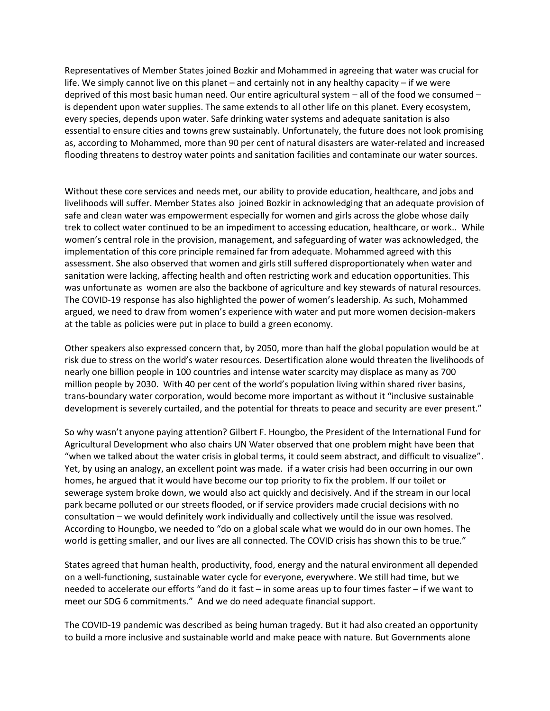Representatives of Member States joined Bozkir and Mohammed in agreeing that water was crucial for life. We simply cannot live on this planet – and certainly not in any healthy capacity – if we were deprived of this most basic human need. Our entire agricultural system – all of the food we consumed – is dependent upon water supplies. The same extends to all other life on this planet. Every ecosystem, every species, depends upon water. Safe drinking water systems and adequate sanitation is also essential to ensure cities and towns grew sustainably. Unfortunately, the future does not look promising as, according to Mohammed, more than 90 per cent of natural disasters are water-related and increased flooding threatens to destroy water points and sanitation facilities and contaminate our water sources.

Without these core services and needs met, our ability to provide education, healthcare, and jobs and livelihoods will suffer. Member States also joined Bozkir in acknowledging that an adequate provision of safe and clean water was empowerment especially for women and girls across the globe whose daily trek to collect water continued to be an impediment to accessing education, healthcare, or work.. While women's central role in the provision, management, and safeguarding of water was acknowledged, the implementation of this core principle remained far from adequate. Mohammed agreed with this assessment. She also observed that women and girls still suffered disproportionately when water and sanitation were lacking, affecting health and often restricting work and education opportunities. This was unfortunate as women are also the backbone of agriculture and key stewards of natural resources. The COVID-19 response has also highlighted the power of women's leadership. As such, Mohammed argued, we need to draw from women's experience with water and put more women decision-makers at the table as policies were put in place to build a green economy.

Other speakers also expressed concern that, by 2050, more than half the global population would be at risk due to stress on the world's water resources. Desertification alone would threaten the livelihoods of nearly one billion people in 100 countries and intense water scarcity may displace as many as 700 million people by 2030. With 40 per cent of the world's population living within shared river basins, trans-boundary water corporation, would become more important as without it "inclusive sustainable development is severely curtailed, and the potential for threats to peace and security are ever present."

So why wasn't anyone paying attention? Gilbert F. Houngbo, the President of the International Fund for Agricultural Development who also chairs UN Water observed that one problem might have been that "when we talked about the water crisis in global terms, it could seem abstract, and difficult to visualize". Yet, by using an analogy, an excellent point was made. if a water crisis had been occurring in our own homes, he argued that it would have become our top priority to fix the problem. If our toilet or sewerage system broke down, we would also act quickly and decisively. And if the stream in our local park became polluted or our streets flooded, or if service providers made crucial decisions with no consultation – we would definitely work individually and collectively until the issue was resolved. According to Houngbo, we needed to "do on a global scale what we would do in our own homes. The world is getting smaller, and our lives are all connected. The COVID crisis has shown this to be true."

States agreed that human health, productivity, food, energy and the natural environment all depended on a well-functioning, sustainable water cycle for everyone, everywhere. We still had time, but we needed to accelerate our efforts "and do it fast – in some areas up to four times faster – if we want to meet our SDG 6 commitments." And we do need adequate financial support.

The COVID-19 pandemic was described as being human tragedy. But it had also created an opportunity to build a more inclusive and sustainable world and make peace with nature. But Governments alone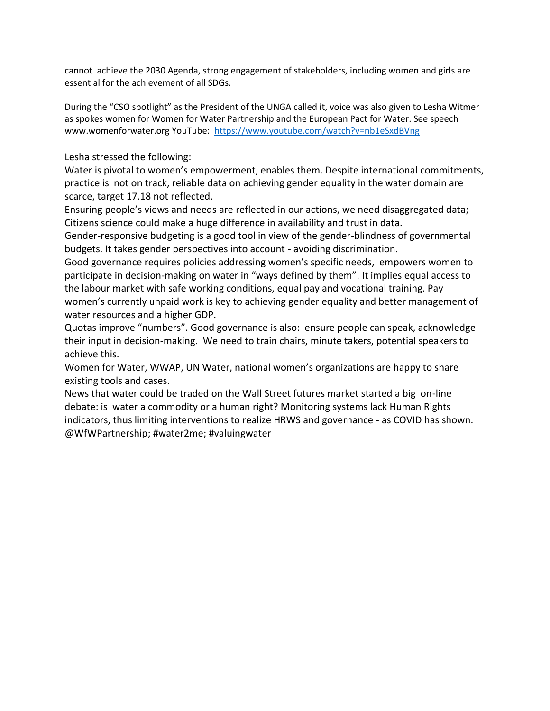cannot achieve the 2030 Agenda, strong engagement of stakeholders, including women and girls are essential for the achievement of all SDGs.

During the "CSO spotlight" as the President of the UNGA called it, voice was also given to Lesha Witmer as spokes women for Women for Water Partnership and the European Pact for Water. See speech www.womenforwater.org YouTube: <https://www.youtube.com/watch?v=nb1eSxdBVng>

Lesha stressed the following:

Water is pivotal to women's empowerment, enables them. Despite international commitments, practice is not on track, reliable data on achieving gender equality in the water domain are scarce, target 17.18 not reflected.

Ensuring people's views and needs are reflected in our actions, we need disaggregated data; Citizens science could make a huge difference in availability and trust in data.

Gender-responsive budgeting is a good tool in view of the gender-blindness of governmental budgets. It takes gender perspectives into account - avoiding discrimination.

Good governance requires policies addressing women's specific needs, empowers women to participate in decision-making on water in "ways defined by them". It implies equal access to the labour market with safe working conditions, equal pay and vocational training. Pay women's currently unpaid work is key to achieving gender equality and better management of water resources and a higher GDP.

Quotas improve "numbers". Good governance is also: ensure people can speak, acknowledge their input in decision-making. We need to train chairs, minute takers, potential speakers to achieve this.

Women for Water, WWAP, UN Water, national women's organizations are happy to share existing tools and cases.

News that water could be traded on the Wall Street futures market started a big on-line debate: is water a commodity or a human right? Monitoring systems lack Human Rights indicators, thus limiting interventions to realize HRWS and governance - as COVID has shown. @WfWPartnership; #water2me; #valuingwater